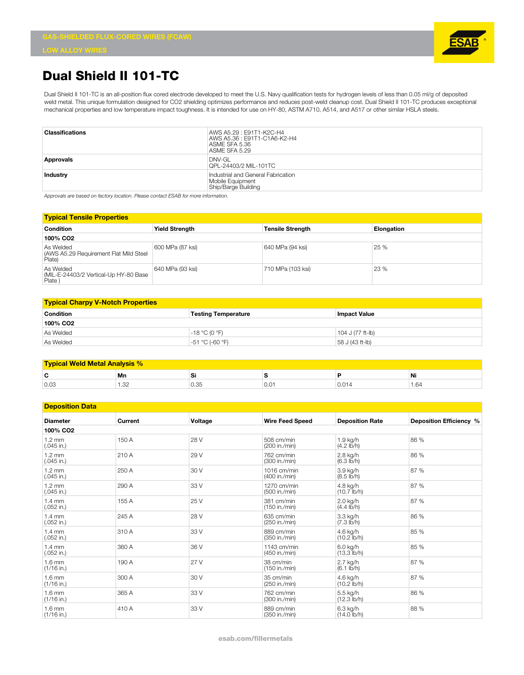

## **Dual Shield II 101-TC**

Dual Shield II 101-TC is an all-position flux cored electrode developed to meet the U.S. Navy qualification tests for hydrogen levels of less than 0.05 ml/g of deposited weld metal. This unique formulation designed for CO2 shielding optimizes performance and reduces post-weld cleanup cost. Dual Shield II 101-TC produces exceptional mechanical properties and low temperature impact toughness. It is intended for use on HY-80, ASTM A710, A514, and A517 or other similar HSLA steels.

| <b>Classifications</b> | AWS A5.29 : E91T1-K2C-H4<br>AWS A5.36 : E91T1-C1A6-K2-H4<br>ASME SFA 5.36<br>ASME SFA 5.29 |
|------------------------|--------------------------------------------------------------------------------------------|
| <b>Approvals</b>       | $DNV-GL$<br>QPL-24403/2 MIL-101TC                                                          |
| Industry               | Industrial and General Fabrication<br>Mobile Equipment<br>Ship/Barge Building              |

*Approvals are based on factory location. Please contact ESAB for more information.*

| <b>Typical Tensile Properties</b>                             |                       |                         |                   |  |
|---------------------------------------------------------------|-----------------------|-------------------------|-------------------|--|
| <b>Condition</b>                                              | <b>Yield Strength</b> | <b>Tensile Strength</b> | <b>Elongation</b> |  |
| 100% CO <sub>2</sub>                                          |                       |                         |                   |  |
| As Welded<br>(AWS A5.29 Requirement Flat Mild Steel<br>Plate) | 600 MPa (87 ksi)      | 640 MPa (94 ksi)        | 25 %              |  |
| As Welded<br>(MIL-E-24403/2 Vertical-Up HY-80 Base<br>Plate)  | 640 MPa (93 ksi)      | 710 MPa (103 ksi)       | 23 %              |  |

| <b>Typical Charpy V-Notch Properties</b> |                            |                  |  |  |
|------------------------------------------|----------------------------|------------------|--|--|
| Condition                                | <b>Testing Temperature</b> | lmpact Value     |  |  |
| 100% CO <sub>2</sub>                     |                            |                  |  |  |
| As Welded                                | -18 °C (0 °F)              | 104 J (77 ft-lb) |  |  |
| As Welded                                | -51 °C (-60 °F)            | 58 J (43 ft-lb)  |  |  |

| <b>Typical Weld Metal Analysis %</b> |                   |      |     |     |       |
|--------------------------------------|-------------------|------|-----|-----|-------|
| С                                    | Mn                | יט   |     | л   | Ni    |
| 0.03                                 | ാല<br>ے بی<br>___ | U.35 | 0.0 | v.v | 64. ، |

| <b>Deposition Data</b>           |                |         |                              |                                    |                         |
|----------------------------------|----------------|---------|------------------------------|------------------------------------|-------------------------|
| <b>Diameter</b>                  | <b>Current</b> | Voltage | <b>Wire Feed Speed</b>       | <b>Deposition Rate</b>             | Deposition Efficiency % |
| 100% CO <sub>2</sub>             |                |         |                              |                                    |                         |
| $1.2 \text{ mm}$<br>$(.045$ in.) | 150 A          | 28 V    | 508 cm/min<br>(200 in./min)  | 1.9 kg/h<br>$(4.2 \text{ lb/h})$   | 86 %                    |
| $1.2 \text{ mm}$<br>$(.045$ in.) | 210 A          | 29 V    | 762 cm/min<br>(300 in./min)  | 2.8 kg/h<br>$(6.3 \text{ lb/h})$   | 86 %                    |
| $1.2 \text{ mm}$<br>$(.045$ in.) | 250 A          | 30 V    | 1016 cm/min<br>(400 in./min) | 3.9 kg/h<br>$(8.5 \text{ lb/h})$   | 87 %                    |
| $1.2 \text{ mm}$<br>$(.045$ in.) | 290 A          | 33 V    | 1270 cm/min<br>(500 in./min) | 4.8 kg/h<br>$(10.7$ lb/h)          | 87 %                    |
| $1.4 \text{ mm}$<br>$(.052$ in.) | 155 A          | 25 V    | 381 cm/min<br>(150 in./min)  | 2.0 kg/h<br>$(4.4 \text{ lb/h})$   | 87 %                    |
| $1.4 \text{ mm}$<br>$(.052$ in.) | 245 A          | 28 V    | 635 cm/min<br>(250 in./min)  | 3.3 kg/h<br>$(7.3 \text{ lb/h})$   | 86 %                    |
| $1.4 \text{ mm}$<br>$(.052$ in.) | 310 A          | 33 V    | 889 cm/min<br>(350 in./min)  | 4.6 kg/h<br>$(10.2$ lb/h)          | 85 %                    |
| $1.4 \text{ mm}$<br>$(.052$ in.) | 360 A          | 36 V    | 1143 cm/min<br>(450 in./min) | 6.0 kg/h<br>$(13.3$ lb/h)          | 85 %                    |
| $1.6 \text{ mm}$<br>$(1/16$ in.) | 190 A          | 27 V    | 38 cm/min<br>(150 in./min)   | 2.7 kg/h<br>$(6.1 \, \text{lb/h})$ | 87 %                    |
| $1.6 \text{ mm}$<br>$(1/16$ in.) | 300 A          | 30 V    | 35 cm/min<br>(250 in./min)   | 4.6 kg/h<br>$(10.2$ lb/h)          | 87 %                    |
| $1.6 \text{ mm}$<br>$(1/16$ in.) | 365 A          | 33 V    | 762 cm/min<br>(300 in./min)  | 5.5 kg/h<br>$(12.3$ lb/h)          | 86 %                    |
| $1.6 \text{ mm}$<br>$(1/16$ in.) | 410 A          | 33 V    | 889 cm/min<br>(350 in./min)  | 6.3 kg/h<br>$(14.0$ lb/h)          | 88 %                    |